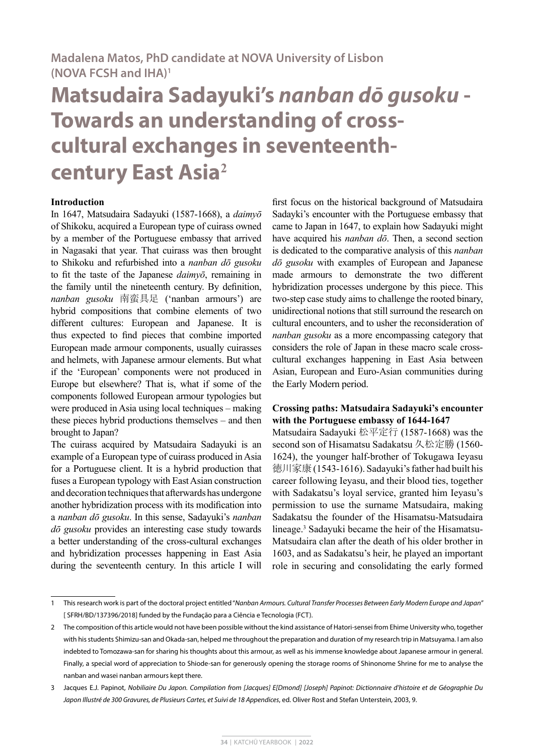# **Matsudaira Sadayuki's** *nanban dō gusoku* **- Towards an understanding of crosscultural exchanges in seventeenthcentury East Asia<sup>2</sup>**

## **Introduction**

In 1647, Matsudaira Sadayuki (1587-1668), a *daimyō* of Shikoku, acquired a European type of cuirass owned by a member of the Portuguese embassy that arrived in Nagasaki that year. That cuirass was then brought to Shikoku and refurbished into a *nanban dō gusoku* to fit the taste of the Japanese *daimyō*, remaining in the family until the nineteenth century. By definition, *nanban gusoku* 南蛮具足 ('nanban armours') are hybrid compositions that combine elements of two different cultures: European and Japanese. It is thus expected to find pieces that combine imported European made armour components, usually cuirasses and helmets, with Japanese armour elements. But what if the 'European' components were not produced in Europe but elsewhere? That is, what if some of the components followed European armour typologies but were produced in Asia using local techniques – making these pieces hybrid productions themselves – and then brought to Japan?

The cuirass acquired by Matsudaira Sadayuki is an example of a European type of cuirass produced in Asia for a Portuguese client. It is a hybrid production that fuses a European typology with East Asian construction and decoration techniques that afterwards has undergone another hybridization process with its modification into a *nanban dō gusoku*. In this sense, Sadayuki's *nanban dō gusoku* provides an interesting case study towards a better understanding of the cross-cultural exchanges and hybridization processes happening in East Asia during the seventeenth century. In this article I will

first focus on the historical background of Matsudaira Sadayki's encounter with the Portuguese embassy that came to Japan in 1647, to explain how Sadayuki might have acquired his *nanban dō*. Then, a second section is dedicated to the comparative analysis of this *nanban dō gusoku* with examples of European and Japanese made armours to demonstrate the two different hybridization processes undergone by this piece. This two-step case study aims to challenge the rooted binary, unidirectional notions that still surround the research on cultural encounters, and to usher the reconsideration of *nanban gusoku* as a more encompassing category that considers the role of Japan in these macro scale crosscultural exchanges happening in East Asia between Asian, European and Euro-Asian communities during the Early Modern period.

## **Crossing paths: Matsudaira Sadayuki's encounter with the Portuguese embassy of 1644-1647**

Matsudaira Sadayuki 松平定行 (1587-1668) was the second son of Hisamatsu Sadakatsu 久松定勝 (1560- 1624), the younger half-brother of Tokugawa Ieyasu 徳川家康 (1543-1616). Sadayuki's father had built his career following Ieyasu, and their blood ties, together with Sadakatsu's loyal service, granted him Ieyasu's permission to use the surname Matsudaira, making Sadakatsu the founder of the Hisamatsu-Matsudaira lineage.3 Sadayuki became the heir of the Hisamatsu-Matsudaira clan after the death of his older brother in 1603, and as Sadakatsu's heir, he played an important role in securing and consolidating the early formed

<sup>1</sup> This research work is part of the doctoral project entitled "*Nanban Armours. Cultural Transfer Processes Between Early Modern Europe and Japan*" [ SFRH/BD/137396/2018] funded by the Fundação para a Ciência e Tecnologia (FCT).

<sup>2</sup> The composition of this article would not have been possible without the kind assistance of Hatori-sensei from Ehime University who, together with his students Shimizu-san and Okada-san, helped me throughout the preparation and duration of my research trip in Matsuyama. I am also indebted to Tomozawa-san for sharing his thoughts about this armour, as well as his immense knowledge about Japanese armour in general. Finally, a special word of appreciation to Shiode-san for generously opening the storage rooms of Shinonome Shrine for me to analyse the nanban and wasei nanban armours kept there.

<sup>3</sup> Jacques E.J. Papinot, *Nobiliaire Du Japon. Compilation from [Jacques] E[Dmond] [Joseph] Papinot: Dictionnaire d'histoire et de Géographie Du Japon Illustré de 300 Gravures, de Plusieurs Cartes, et Suivi de 18 Appendices*, ed. Oliver Rost and Stefan Unterstein, 2003, 9.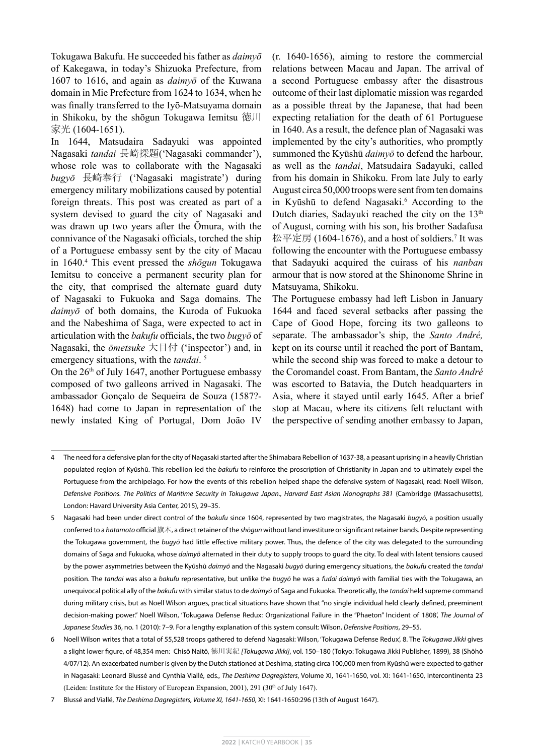Tokugawa Bakufu. He succeeded his father as *daimyō* of Kakegawa, in today's Shizuoka Prefecture, from 1607 to 1616, and again as *daimyō* of the Kuwana domain in Mie Prefecture from 1624 to 1634, when he was finally transferred to the Iyō-Matsuyama domain in Shikoku, by the shōgun Tokugawa Iemitsu 徳川 家光 (1604-1651).

In 1644, Matsudaira Sadayuki was appointed Nagasaki *tandai* 長崎探題('Nagasaki commander'), whose role was to collaborate with the Nagasaki *bugyō* 長崎奉行 ('Nagasaki magistrate') during emergency military mobilizations caused by potential foreign threats. This post was created as part of a system devised to guard the city of Nagasaki and was drawn up two years after the Ōmura, with the connivance of the Nagasaki officials, torched the ship of a Portuguese embassy sent by the city of Macau in 1640.4 This event pressed the *shōgun* Tokugawa Iemitsu to conceive a permanent security plan for the city, that comprised the alternate guard duty of Nagasaki to Fukuoka and Saga domains. The *daimyō* of both domains, the Kuroda of Fukuoka and the Nabeshima of Saga, were expected to act in articulation with the *bakufu* officials, the two *bugyō* of Nagasaki, the *ōmetsuke* 大目付 ('inspector') and, in emergency situations, with the *tandai*. 5

On the  $26<sup>th</sup>$  of July 1647, another Portuguese embassy composed of two galleons arrived in Nagasaki. The ambassador Gonçalo de Sequeira de Souza (1587?- 1648) had come to Japan in representation of the newly instated King of Portugal, Dom João IV

(r. 1640-1656), aiming to restore the commercial relations between Macau and Japan. The arrival of a second Portuguese embassy after the disastrous outcome of their last diplomatic mission was regarded as a possible threat by the Japanese, that had been expecting retaliation for the death of 61 Portuguese in 1640. As a result, the defence plan of Nagasaki was implemented by the city's authorities, who promptly summoned the Kyūshū *daimyō* to defend the harbour, as well as the *tandai*, Matsudaira Sadayuki, called from his domain in Shikoku. From late July to early August circa 50,000 troops were sent from ten domains in Kyūshū to defend Nagasaki.<sup>6</sup> According to the Dutch diaries, Sadayuki reached the city on the  $13<sup>th</sup>$ of August, coming with his son, his brother Sadafusa 松平定房 (1604-1676), and a host of soldiers.<sup>7</sup> It was following the encounter with the Portuguese embassy that Sadayuki acquired the cuirass of his *nanban* armour that is now stored at the Shinonome Shrine in Matsuyama, Shikoku.

The Portuguese embassy had left Lisbon in January 1644 and faced several setbacks after passing the Cape of Good Hope, forcing its two galleons to separate. The ambassador's ship, the *Santo André,* kept on its course until it reached the port of Bantam, while the second ship was forced to make a detour to the Coromandel coast. From Bantam, the *Santo André* was escorted to Batavia, the Dutch headquarters in Asia, where it stayed until early 1645. After a brief stop at Macau, where its citizens felt reluctant with the perspective of sending another embassy to Japan,

<sup>4</sup> The need for a defensive plan for the city of Nagasaki started after the Shimabara Rebellion of 1637-38, a peasant uprising in a heavily Christian populated region of Kyūshū. This rebellion led the *bakufu* to reinforce the proscription of Christianity in Japan and to ultimately expel the Portuguese from the archipelago. For how the events of this rebellion helped shape the defensive system of Nagasaki, read: Noell Wilson, *Defensive Positions. The Politics of Maritime Security in Tokugawa Japan., Harvard East Asian Monographs 381* (Cambridge (Massachusetts), London: Havard University Asia Center, 2015), 29–35.

<sup>5</sup> Nagasaki had been under direct control of the *bakufu* since 1604, represented by two magistrates, the Nagasaki *bugyō*, a position usually conferred to a *hatamoto* official 旗本, a direct retainer of the *shōgun* without land investiture or significant retainer bands. Despite representing the Tokugawa government, the *bugyō* had little effective military power. Thus, the defence of the city was delegated to the surrounding domains of Saga and Fukuoka, whose *daimyō* alternated in their duty to supply troops to guard the city. To deal with latent tensions caused by the power asymmetries between the Kyūshū *daimyō* and the Nagasaki *bugyō* during emergency situations, the *bakufu* created the *tandai* position. The *tandai* was also a *bakufu* representative, but unlike the *bugyō* he was a *fudai daimyō* with familial ties with the Tokugawa, an unequivocal political ally of the *bakufu* with similar status to de *daimyō* of Saga and Fukuoka. Theoretically, the *tandai* held supreme command during military crisis, but as Noell Wilson argues, practical situations have shown that "no single individual held clearly defined, preeminent decision-making power." Noell Wilson, 'Tokugawa Defense Redux: Organizational Failure in the "Phaeton" Incident of 1808', *The Journal of Japanese Studies* 36, no. 1 (2010): 7–9. For a lengthy explanation of this system consult: Wilson, *Defensive Positions*, 29–55.

<sup>6</sup> Noell Wilson writes that a total of 55,528 troops gathered to defend Nagasaki: Wilson, 'Tokugawa Defense Redux', 8. The *Tokugawa Jikki* gives a slight lower figure, of 48,354 men: Chisō Naitō, 徳川実紀 *[Tokugawa Jikki]*, vol. 150–180 (Tokyo: Tokugawa Jikki Publisher, 1899), 38 (Shōhō 4/07/12). An exacerbated number is given by the Dutch stationed at Deshima, stating circa 100,000 men from Kyūshū were expected to gather in Nagasaki: Leonard Blussé and Cynthia Viallé, eds., *The Deshima Dagregisters*, Volume XI, 1641-1650, vol. XI: 1641-1650, Intercontinenta 23 (Leiden: Institute for the History of European Expansion, 2001), 291 (30<sup>th</sup> of July 1647).

<sup>7</sup> Blussé and Viallé, *The Deshima Dagregisters, Volume XI, 1641-1650*, XI: 1641-1650:296 (13th of August 1647).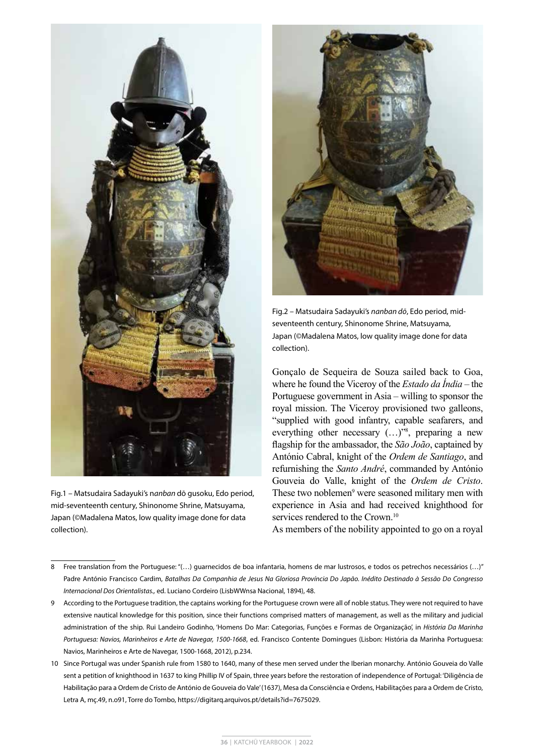

Fig.1 – Matsudaira Sadayuki's n*anban* dō gusoku, Edo period, mid-seventeenth century, Shinonome Shrine, Matsuyama, Japan (©Madalena Matos, low quality image done for data collection).



Fig.2 – Matsudaira Sadayuki's *nanban dō*, Edo period, midseventeenth century, Shinonome Shrine, Matsuyama, Japan (©Madalena Matos, low quality image done for data collection).

Gonçalo de Sequeira de Souza sailed back to Goa, where he found the Viceroy of the *Estado da Índia* – the Portuguese government in Asia – willing to sponsor the royal mission. The Viceroy provisioned two galleons, "supplied with good infantry, capable seafarers, and everything other necessary  $(...)^{^{78}}$ , preparing a new flagship for the ambassador, the *São João*, captained by António Cabral, knight of the *Ordem de Santiago*, and refurnishing the *Santo André*, commanded by António Gouveia do Valle, knight of the *Ordem de Cristo*. These two noblemen<sup>9</sup> were seasoned military men with experience in Asia and had received knighthood for services rendered to the Crown.<sup>10</sup>

As members of the nobility appointed to go on a royal

- 8 Free translation from the Portuguese: "(…) guarnecidos de boa infantaria, homens de mar lustrosos, e todos os petrechos necessários (…)" Padre António Francisco Cardim, *Batalhas Da Companhia de Jesus Na Gloriosa Província Do Japão. Inédito Destinado à Sessão Do Congresso Internacional Dos Orientalistas.,* ed. Luciano Cordeiro (LisbWWnsa Nacional, 1894), 48.
- 9 According to the Portuguese tradition, the captains working for the Portuguese crown were all of noble status. They were not required to have extensive nautical knowledge for this position, since their functions comprised matters of management, as well as the military and judicial administration of the ship. Rui Landeiro Godinho, 'Homens Do Mar: Categorias, Funções e Formas de Organização', in *História Da Marinha Portuguesa: Navios, Marinheiros e Arte de Navegar, 1500-1668*, ed. Francisco Contente Domingues (Lisbon: História da Marinha Portuguesa: Navios, Marinheiros e Arte de Navegar, 1500-1668, 2012), p.234.
- 10 Since Portugal was under Spanish rule from 1580 to 1640, many of these men served under the Iberian monarchy. António Gouveia do Valle sent a petition of knighthood in 1637 to king Phillip IV of Spain, three years before the restoration of independence of Portugal: 'Diligência de Habilitação para a Ordem de Cristo de António de Gouveia do Vale' (1637), Mesa da Consciência e Ordens, Habilitações para a Ordem de Cristo, Letra A, mç.49, n.o91, Torre do Tombo, https://digitarq.arquivos.pt/details?id=7675029.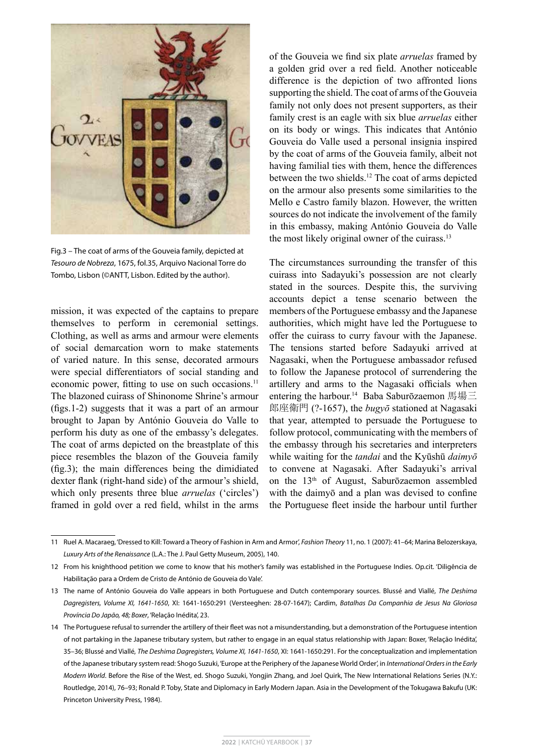

Fig.3 – The coat of arms of the Gouveia family, depicted at *Tesouro de Nobreza*, 1675, fol.35, Arquivo Nacional Torre do Tombo, Lisbon (©ANTT, Lisbon. Edited by the author).

mission, it was expected of the captains to prepare themselves to perform in ceremonial settings. Clothing, as well as arms and armour were elements of social demarcation worn to make statements of varied nature. In this sense, decorated armours were special differentiators of social standing and economic power, fitting to use on such occasions.<sup>11</sup> The blazoned cuirass of Shinonome Shrine's armour (figs.1-2) suggests that it was a part of an armour brought to Japan by António Gouveia do Valle to perform his duty as one of the embassy's delegates. The coat of arms depicted on the breastplate of this piece resembles the blazon of the Gouveia family (fig.3); the main differences being the dimidiated dexter flank (right-hand side) of the armour's shield, which only presents three blue *arruelas* ('circles') framed in gold over a red field, whilst in the arms

of the Gouveia we find six plate *arruelas* framed by a golden grid over a red field. Another noticeable difference is the depiction of two affronted lions supporting the shield. The coat of arms of the Gouveia family not only does not present supporters, as their family crest is an eagle with six blue *arruelas* either on its body or wings. This indicates that António Gouveia do Valle used a personal insignia inspired by the coat of arms of the Gouveia family, albeit not having familial ties with them, hence the differences between the two shields.12 The coat of arms depicted on the armour also presents some similarities to the Mello e Castro family blazon. However, the written sources do not indicate the involvement of the family in this embassy, making António Gouveia do Valle the most likely original owner of the cuirass.<sup>13</sup>

The circumstances surrounding the transfer of this cuirass into Sadayuki's possession are not clearly stated in the sources. Despite this, the surviving accounts depict a tense scenario between the members of the Portuguese embassy and the Japanese authorities, which might have led the Portuguese to offer the cuirass to curry favour with the Japanese. The tensions started before Sadayuki arrived at Nagasaki, when the Portuguese ambassador refused to follow the Japanese protocol of surrendering the artillery and arms to the Nagasaki officials when entering the harbour.<sup>14</sup> Baba Saburōzaemon 馬場三 郎座衛門 (?-1657), the *bugyō* stationed at Nagasaki that year, attempted to persuade the Portuguese to follow protocol, communicating with the members of the embassy through his secretaries and interpreters while waiting for the *tandai* and the Kyūshū *daimyō*  to convene at Nagasaki. After Sadayuki's arrival on the 13th of August, Saburōzaemon assembled with the daimyō and a plan was devised to confine the Portuguese fleet inside the harbour until further

<sup>11</sup> Ruel A. Macaraeg, 'Dressed to Kill: Toward a Theory of Fashion in Arm and Armor', *Fashion Theory* 11, no. 1 (2007): 41–64; Marina Belozerskaya, *Luxury Arts of the Renaissance* (L.A.: The J. Paul Getty Museum, 2005), 140.

<sup>12</sup> From his knighthood petition we come to know that his mother's family was established in the Portuguese Indies. Op.cit. 'Diligência de Habilitação para a Ordem de Cristo de António de Gouveia do Vale'.

<sup>13</sup> The name of António Gouveia do Valle appears in both Portuguese and Dutch contemporary sources. Blussé and Viallé, *The Deshima Dagregisters, Volume XI, 1641-1650*, XI: 1641-1650:291 (Versteeghen: 28-07-1647); Cardim, *Batalhas Da Companhia de Jesus Na Gloriosa Província Do Japão, 48; Boxer*, 'Relação Inédita', 23.

<sup>14</sup> The Portuguese refusal to surrender the artillery of their fleet was not a misunderstanding, but a demonstration of the Portuguese intention of not partaking in the Japanese tributary system, but rather to engage in an equal status relationship with Japan: Boxer, 'Relação Inédita', 35–36; Blussé and Viallé, *The Deshima Dagregisters, Volume XI, 1641-1650*, XI: 1641-1650:291. For the conceptualization and implementation of the Japanese tributary system read: Shogo Suzuki, 'Europe at the Periphery of the Japanese World Order', in *International Orders in the Early Modern World*. Before the Rise of the West, ed. Shogo Suzuki, Yongjin Zhang, and Joel Quirk, The New International Relations Series (N.Y.: Routledge, 2014), 76–93; Ronald P. Toby, State and Diplomacy in Early Modern Japan. Asia in the Development of the Tokugawa Bakufu (UK: Princeton University Press, 1984).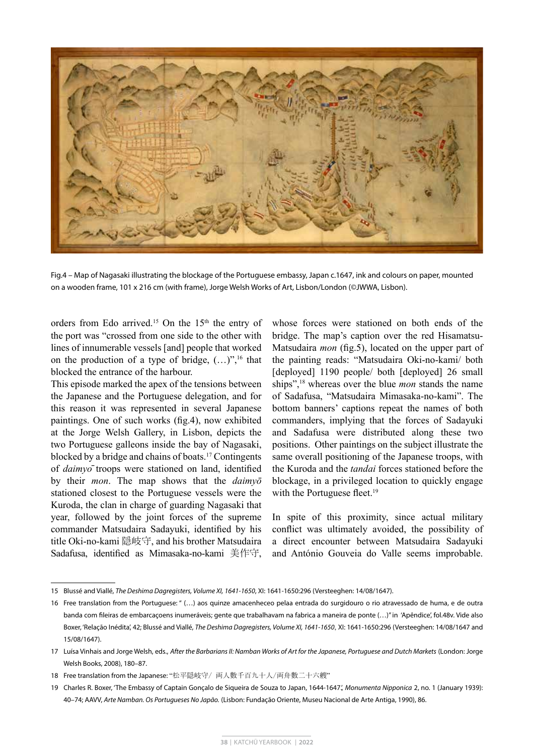

Fig.4 – Map of Nagasaki illustrating the blockage of the Portuguese embassy, Japan c.1647, ink and colours on paper, mounted on a wooden frame, 101 x 216 cm (with frame), Jorge Welsh Works of Art, Lisbon/London (©JWWA, Lisbon).

orders from Edo arrived.<sup>15</sup> On the  $15<sup>th</sup>$  the entry of the port was "crossed from one side to the other with lines of innumerable vessels [and] people that worked on the production of a type of bridge,  $(...)^{v,16}$  that blocked the entrance of the harbour.

This episode marked the apex of the tensions between the Japanese and the Portuguese delegation, and for this reason it was represented in several Japanese paintings. One of such works (fig.4), now exhibited at the Jorge Welsh Gallery, in Lisbon, depicts the two Portuguese galleons inside the bay of Nagasaki, blocked by a bridge and chains of boats.17 Contingents of *daimyō* troops were stationed on land, identified by their *mon*. The map shows that the *daimyō* stationed closest to the Portuguese vessels were the Kuroda, the clan in charge of guarding Nagasaki that year, followed by the joint forces of the supreme commander Matsudaira Sadayuki, identified by his title Oki-no-kami 隠岐守, and his brother Matsudaira Sadafusa, identified as Mimasaka-no-kami 美作守,

whose forces were stationed on both ends of the bridge. The map's caption over the red Hisamatsu-Matsudaira *mon* (fig.5), located on the upper part of the painting reads: "Matsudaira Oki-no-kami/ both [deployed] 1190 people/ both [deployed] 26 small ships",18 whereas over the blue *mon* stands the name of Sadafusa, "Matsudaira Mimasaka-no-kami". The bottom banners' captions repeat the names of both commanders, implying that the forces of Sadayuki and Sadafusa were distributed along these two positions. Other paintings on the subject illustrate the same overall positioning of the Japanese troops, with the Kuroda and the *tandai* forces stationed before the blockage, in a privileged location to quickly engage with the Portuguese fleet.<sup>19</sup>

In spite of this proximity, since actual military conflict was ultimately avoided, the possibility of a direct encounter between Matsudaira Sadayuki and António Gouveia do Valle seems improbable.

<sup>15</sup> Blussé and Viallé, *The Deshima Dagregisters, Volume XI, 1641-1650*, XI: 1641-1650:296 (Versteeghen: 14/08/1647).

<sup>16</sup> Free translation from the Portuguese: " (…) aos quinze amacenheceo pelaa entrada do surgidouro o rio atravessado de huma, e de outra banda com fileiras de embarcaçoens inumeráveis; gente que trabalhavam na fabrica a maneira de ponte (…)" in 'Apêndice', fol.48v. Vide also Boxer, 'Relação Inédita', 42; Blussé and Viallé, *The Deshima Dagregisters, Volume XI, 1641-1650*, XI: 1641-1650:296 (Versteeghen: 14/08/1647 and 15/08/1647).

<sup>17</sup> Luísa Vinhais and Jorge Welsh, eds., *After the Barbarians II: Namban Works of Art for the Japanese, Portuguese and Dutch Markets* (London: Jorge Welsh Books, 2008), 180–87.

<sup>18</sup> Free translation from the Japanese: "松平隠岐守/ 両人數千百九十人/両舟數二十六艘"

<sup>19</sup> Charles R. Boxer, 'The Embassy of Captain Gonçalo de Siqueira de Souza to Japan, 1644-1647.', *Monumenta Nipponica* 2, no. 1 (January 1939): 40–74; AAVV, *Arte Namban. Os Portugueses No Japão.* (Lisbon: Fundação Oriente, Museu Nacional de Arte Antiga, 1990), 86.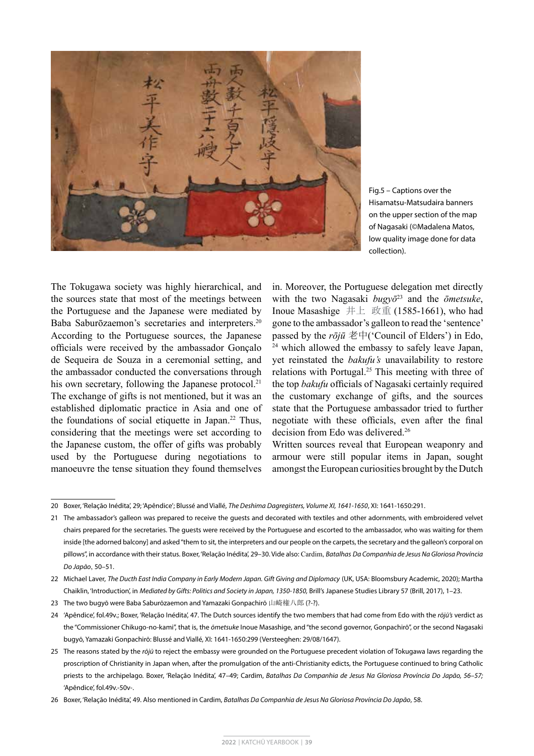

Fig.5 – Captions over the Hisamatsu-Matsudaira banners on the upper section of the map of Nagasaki (©Madalena Matos, low quality image done for data collection).

The Tokugawa society was highly hierarchical, and the sources state that most of the meetings between the Portuguese and the Japanese were mediated by Baba Saburōzaemon's secretaries and interpreters.<sup>20</sup> According to the Portuguese sources, the Japanese officials were received by the ambassador Gonçalo de Sequeira de Souza in a ceremonial setting, and the ambassador conducted the conversations through his own secretary, following the Japanese protocol.<sup>21</sup> The exchange of gifts is not mentioned, but it was an established diplomatic practice in Asia and one of the foundations of social etiquette in Japan.22 Thus, considering that the meetings were set according to the Japanese custom, the offer of gifts was probably used by the Portuguese during negotiations to manoeuvre the tense situation they found themselves

in. Moreover, the Portuguese delegation met directly with the two Nagasaki *bugyō*23 and the *ōmetsuke*, Inoue Masashige  $#L$  政重 (1585-1661), who had gone to the ambassador's galleon to read the 'sentence' passed by the  $r\bar{o}j\bar{u} \not\equiv \pm (C_{\text{c}l} \text{C}_{\text{c}l})$  of Elders') in Edo, <sup>24</sup> which allowed the embassy to safely leave Japan, yet reinstated the *bakufu's* unavailability to restore relations with Portugal.25 This meeting with three of the top *bakufu* officials of Nagasaki certainly required the customary exchange of gifts, and the sources state that the Portuguese ambassador tried to further negotiate with these officials, even after the final decision from Edo was delivered.26

Written sources reveal that European weaponry and armour were still popular items in Japan, sought amongst the European curiosities brought by the Dutch

<sup>20</sup> Boxer, 'Relação Inédita', 29; 'Apêndice'; Blussé and Viallé, *The Deshima Dagregisters, Volume XI, 1641-1650*, XI: 1641-1650:291.

<sup>21</sup> The ambassador's galleon was prepared to receive the guests and decorated with textiles and other adornments, with embroidered velvet chairs prepared for the secretaries. The guests were received by the Portuguese and escorted to the ambassador, who was waiting for them inside [the adorned balcony] and asked "them to sit, the interpreters and our people on the carpets, the secretary and the galleon's corporal on pillows", in accordance with their status. Boxer, 'Relação Inédita', 29–30. Vide also: Cardim, *Batalhas Da Companhia de Jesus Na Gloriosa Província Do Japão*, 50–51.

<sup>22</sup> Michael Laver, *The Ducth East India Company in Early Modern Japan. Gift Giving and Diplomacy* (UK, USA: Bloomsbury Academic, 2020); Martha Chaiklin, 'Introduction', in *Mediated by Gifts: Politics and Society in Japan, 1350-1850,* Brill's Japanese Studies Library 57 (Brill, 2017), 1–23.

<sup>23</sup> The two bugyō were Baba Saburōzaemon and Yamazaki Gonpachirō 山崎権八郎 (?-?).

<sup>24</sup> 'Apêndice', fol.49v.; Boxer, 'Relação Inédita', 47. The Dutch sources identify the two members that had come from Edo with the *rōjū's* verdict as the "Commissioner Chikugo-no-kami", that is, the *ōmetsuke* Inoue Masashige, and "the second governor, Gonpachirō", or the second Nagasaki bugyō, Yamazaki Gonpachirō: Blussé and Viallé, XI: 1641-1650:299 (Versteeghen: 29/08/1647).

<sup>25</sup> The reasons stated by the *rōjū* to reject the embassy were grounded on the Portuguese precedent violation of Tokugawa laws regarding the proscription of Christianity in Japan when, after the promulgation of the anti-Christianity edicts, the Portuguese continued to bring Catholic priests to the archipelago. Boxer, 'Relação Inédita', 47–49; Cardim, *Batalhas Da Companhia de Jesus Na Gloriosa Província Do Japão, 56–57;*  'Apêndice', fol.49v.-50v-.

<sup>26</sup> Boxer, 'Relação Inédita', 49. Also mentioned in Cardim, *Batalhas Da Companhia de Jesus Na Gloriosa Província Do Japão*, 58.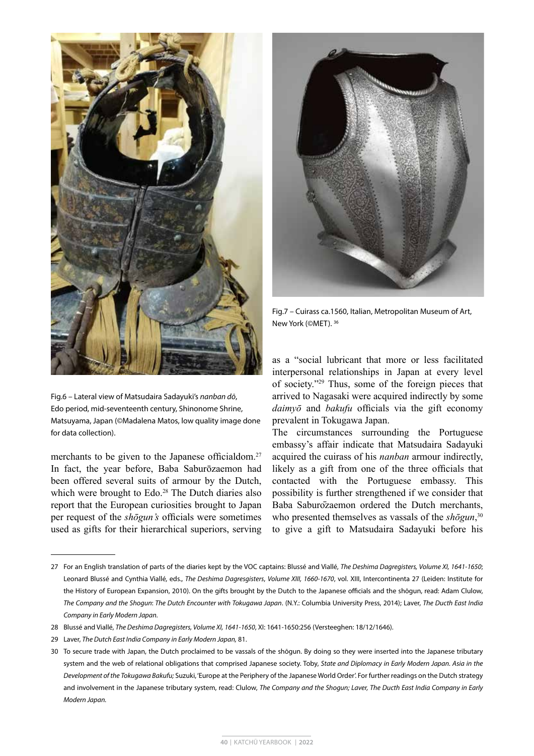

Fig.6 – Lateral view of Matsudaira Sadayuki's *nanban dō*, Edo period, mid-seventeenth century, Shinonome Shrine, Matsuyama, Japan (©Madalena Matos, low quality image done for data collection).

merchants to be given to the Japanese officialdom.<sup>27</sup> In fact, the year before, Baba Saburōzaemon had been offered several suits of armour by the Dutch, which were brought to Edo.<sup>28</sup> The Dutch diaries also report that the European curiosities brought to Japan per request of the *shōgun's* officials were sometimes used as gifts for their hierarchical superiors, serving



Fig.7 – Cuirass ca.1560, Italian, Metropolitan Museum of Art, New York (©MET). 36

as a "social lubricant that more or less facilitated interpersonal relationships in Japan at every level of society."29 Thus, some of the foreign pieces that arrived to Nagasaki were acquired indirectly by some *daimyō* and *bakufu* officials via the gift economy prevalent in Tokugawa Japan.

The circumstances surrounding the Portuguese embassy's affair indicate that Matsudaira Sadayuki acquired the cuirass of his *nanban* armour indirectly, likely as a gift from one of the three officials that contacted with the Portuguese embassy. This possibility is further strengthened if we consider that Baba Saburōzaemon ordered the Dutch merchants, who presented themselves as vassals of the *shōgun*,<sup>30</sup> to give a gift to Matsudaira Sadayuki before his

29 Laver, *The Dutch East India Company in Early Modern Japan,* 81.

<sup>27</sup> For an English translation of parts of the diaries kept by the VOC captains: Blussé and Viallé, *The Deshima Dagregisters, Volume XI, 1641-1650*; Leonard Blussé and Cynthia Viallé, eds., *The Deshima Dagresgisters*, *Volume XIII, 1660-1670*, vol. XIII, Intercontinenta 27 (Leiden: Institute for the History of European Expansion, 2010). On the gifts brought by the Dutch to the Japanese officials and the shōgun, read: Adam Clulow, *The Company and the Shogun*: *The Dutch Encounter with Tokugawa Japan*. (N.Y.: Columbia University Press, 2014); Laver, *The Ducth East India Company in Early Modern Japan.*

<sup>28</sup> Blussé and Viallé, *The Deshima Dagregisters, Volume XI, 1641-1650*, XI: 1641-1650:256 (Versteeghen: 18/12/1646).

<sup>30</sup> To secure trade with Japan, the Dutch proclaimed to be vassals of the shōgun. By doing so they were inserted into the Japanese tributary system and the web of relational obligations that comprised Japanese society. Toby, *State and Diplomacy in Early Modern Japan. Asia in the Development of the Tokugawa Bakufu;* Suzuki, 'Europe at the Periphery of the Japanese World Order'. For further readings on the Dutch strategy and involvement in the Japanese tributary system, read: Clulow, *The Company and the Shogun; Laver, The Ducth East India Company in Early Modern Japan.*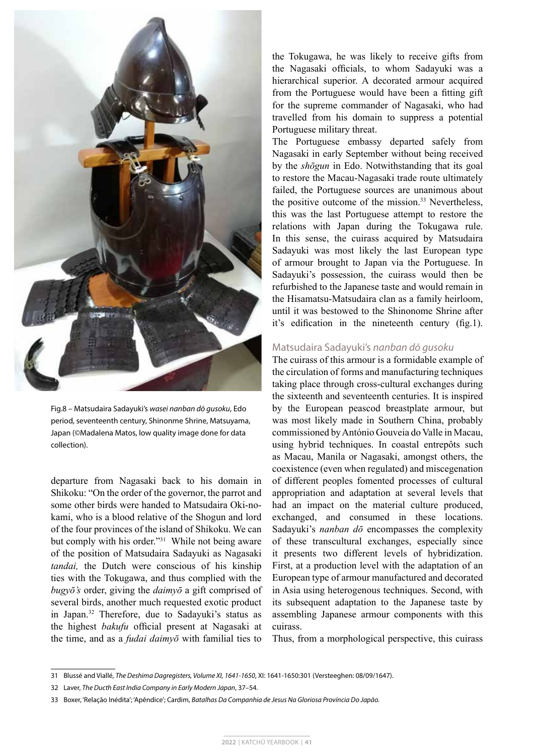

Fig.8 – Matsudaira Sadayuki's *wasei nanban dō gusoku*, Edo period, seventeenth century, Shinonme Shrine, Matsuyama, Japan (©Madalena Matos, low quality image done for data collection).

departure from Nagasaki back to his domain in Shikoku: "On the order of the governor, the parrot and some other birds were handed to Matsudaira Oki-nokami, who is a blood relative of the Shogun and lord of the four provinces of the island of Shikoku. We can but comply with his order."31 While not being aware of the position of Matsudaira Sadayuki as Nagasaki *tandai,* the Dutch were conscious of his kinship ties with the Tokugawa, and thus complied with the *bugyō's* order, giving the *daimyō* a gift comprised of several birds, another much requested exotic product in Japan.32 Therefore, due to Sadayuki's status as the highest *bakufu* official present at Nagasaki at the time, and as a *fudai daimyō* with familial ties to

the Tokugawa, he was likely to receive gifts from the Nagasaki officials, to whom Sadayuki was a hierarchical superior. A decorated armour acquired from the Portuguese would have been a fitting gift for the supreme commander of Nagasaki, who had travelled from his domain to suppress a potential Portuguese military threat.

The Portuguese embassy departed safely from Nagasaki in early September without being received by the *shōgun* in Edo. Notwithstanding that its goal to restore the Macau-Nagasaki trade route ultimately failed, the Portuguese sources are unanimous about the positive outcome of the mission.<sup>33</sup> Nevertheless, this was the last Portuguese attempt to restore the relations with Japan during the Tokugawa rule. In this sense, the cuirass acquired by Matsudaira Sadayuki was most likely the last European type of armour brought to Japan via the Portuguese. In Sadayuki's possession, the cuirass would then be refurbished to the Japanese taste and would remain in the Hisamatsu-Matsudaira clan as a family heirloom, until it was bestowed to the Shinonome Shrine after it's edification in the nineteenth century (fig.1).

#### Matsudaira Sadayuki's *nanban dō gusoku*

The cuirass of this armour is a formidable example of the circulation of forms and manufacturing techniques taking place through cross-cultural exchanges during the sixteenth and seventeenth centuries. It is inspired by the European peascod breastplate armour, but was most likely made in Southern China, probably commissioned by António Gouveia do Valle in Macau, using hybrid techniques. In coastal entrepôts such as Macau, Manila or Nagasaki, amongst others, the coexistence (even when regulated) and miscegenation of different peoples fomented processes of cultural appropriation and adaptation at several levels that had an impact on the material culture produced, exchanged, and consumed in these locations. Sadayuki's *nanban dō* encompasses the complexity of these transcultural exchanges, especially since it presents two different levels of hybridization. First, at a production level with the adaptation of an European type of armour manufactured and decorated in Asia using heterogenous techniques. Second, with its subsequent adaptation to the Japanese taste by assembling Japanese armour components with this cuirass.

Thus, from a morphological perspective, this cuirass

<sup>31</sup> Blussé and Viallé, *The Deshima Dagregisters, Volume XI, 1641-1650*, XI: 1641-1650:301 (Versteeghen: 08/09/1647).

<sup>32</sup> Laver, *The Ducth East India Company in Early Modern Japan*, 37–54.

<sup>33</sup> Boxer, 'Relação Inédita'; 'Apêndice'; Cardim, *Batalhas Da Companhia de Jesus Na Gloriosa Província Do Japão.*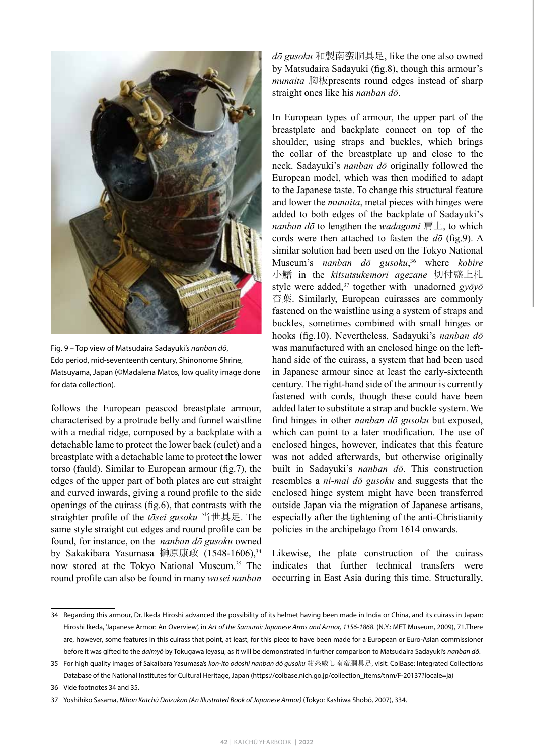

Fig. 9 – Top view of Matsudaira Sadayuki's *nanban dō*, Edo period, mid-seventeenth century, Shinonome Shrine, Matsuyama, Japan (©Madalena Matos, low quality image done for data collection).

follows the European peascod breastplate armour, characterised by a protrude belly and funnel waistline with a medial ridge, composed by a backplate with a detachable lame to protect the lower back (culet) and a breastplate with a detachable lame to protect the lower torso (fauld). Similar to European armour (fig.7), the edges of the upper part of both plates are cut straight and curved inwards, giving a round profile to the side openings of the cuirass (fig.6), that contrasts with the straighter profile of the *tōsei gusoku* 当世具足. The same style straight cut edges and round profile can be found, for instance, on the *nanban dō gusoku* owned by Sakakibara Yasumasa 榊原康政 (1548-1606),<sup>34</sup> now stored at the Tokyo National Museum.35 The round profile can also be found in many *wasei nanban*  *dō gusoku* 和製南蛮胴具足, like the one also owned by Matsudaira Sadayuki (fig.8), though this armour's *munaita* 胸板presents round edges instead of sharp straight ones like his *nanban dō*.

In European types of armour, the upper part of the breastplate and backplate connect on top of the shoulder, using straps and buckles, which brings the collar of the breastplate up and close to the neck. Sadayuki's *nanban dō* originally followed the European model, which was then modified to adapt to the Japanese taste. To change this structural feature and lower the *munaita*, metal pieces with hinges were added to both edges of the backplate of Sadayuki's *nanban dō* to lengthen the *wadagami* 肩上, to which cords were then attached to fasten the *dō* (fig.9). A similar solution had been used on the Tokyo National Museum's *nanban dō gusoku*, 36 where *kobire* 小鰭 in the *kitsutsukemori agezane* 切付盛上札 style were added,<sup>37</sup> together with unadorned *gyōyō* 杏葉. Similarly, European cuirasses are commonly fastened on the waistline using a system of straps and buckles, sometimes combined with small hinges or hooks (fig.10). Nevertheless, Sadayuki's *nanban dō* was manufactured with an enclosed hinge on the lefthand side of the cuirass, a system that had been used in Japanese armour since at least the early-sixteenth century. The right-hand side of the armour is currently fastened with cords, though these could have been added later to substitute a strap and buckle system. We find hinges in other *nanban dō gusoku* but exposed, which can point to a later modification. The use of enclosed hinges, however, indicates that this feature was not added afterwards, but otherwise originally built in Sadayuki's *nanban dō*. This construction resembles a *ni-mai dō gusoku* and suggests that the enclosed hinge system might have been transferred outside Japan via the migration of Japanese artisans, especially after the tightening of the anti-Christianity policies in the archipelago from 1614 onwards.

Likewise, the plate construction of the cuirass indicates that further technical transfers were occurring in East Asia during this time. Structurally,

37 Yoshihiko Sasama, *Nihon Katchū Daizukan (An Illustrated Book of Japanese Armor)* (Tokyo: Kashiwa Shobō, 2007), 334.

<sup>34</sup> Regarding this armour, Dr. Ikeda Hiroshi advanced the possibility of its helmet having been made in India or China, and its cuirass in Japan: Hiroshi Ikeda, 'Japanese Armor: An Overview', in *Art of the Samurai: Japanese Arms and Armor, 1156-1868*. (N.Y.: MET Museum, 2009), 71.There are, however, some features in this cuirass that point, at least, for this piece to have been made for a European or Euro-Asian commissioner before it was gifted to the *daimyō* by Tokugawa Ieyasu, as it will be demonstrated in further comparison to Matsudaira Sadayuki's *nanban dō*.

<sup>35</sup> For high quality images of Sakaibara Yasumasa's *kon-ito odoshi nanban dō gusoku* 紺糸威し南蛮胴具足, visit: ColBase: Integrated Collections Database of the National Institutes for Cultural Heritage, Japan (https://colbase.nich.go.jp/collection\_items/tnm/F-20137?locale=ja)

<sup>36</sup> Vide footnotes 34 and 35.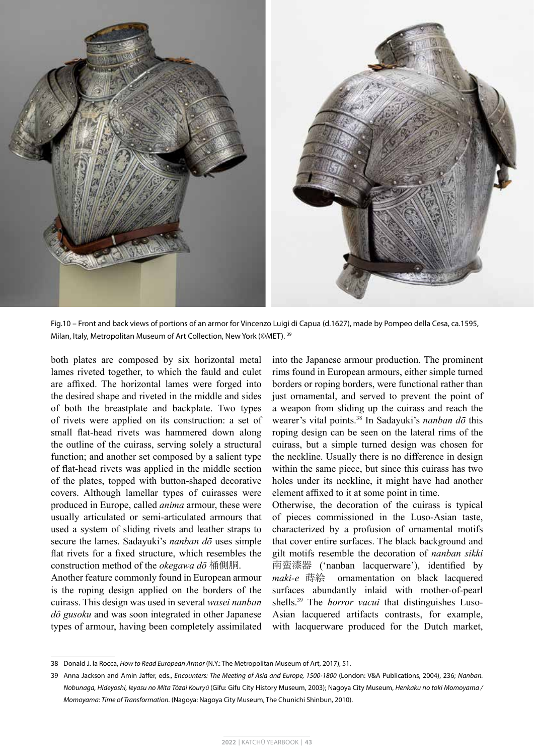

Fig.10 – Front and back views of portions of an armor for Vincenzo Luigi di Capua (d.1627), made by Pompeo della Cesa, ca.1595, Milan, Italy, Metropolitan Museum of Art Collection, New York (©MET). 39

both plates are composed by six horizontal metal lames riveted together, to which the fauld and culet are affixed. The horizontal lames were forged into the desired shape and riveted in the middle and sides of both the breastplate and backplate. Two types of rivets were applied on its construction: a set of small flat-head rivets was hammered down along the outline of the cuirass, serving solely a structural function; and another set composed by a salient type of flat-head rivets was applied in the middle section of the plates, topped with button-shaped decorative covers. Although lamellar types of cuirasses were produced in Europe, called *anima* armour, these were usually articulated or semi-articulated armours that used a system of sliding rivets and leather straps to secure the lames. Sadayuki's *nanban dō* uses simple flat rivets for a fixed structure, which resembles the construction method of the *okegawa dō* 桶側胴.

Another feature commonly found in European armour is the roping design applied on the borders of the cuirass. This design was used in several *wasei nanban dô gusoku* and was soon integrated in other Japanese types of armour, having been completely assimilated

into the Japanese armour production. The prominent rims found in European armours, either simple turned borders or roping borders, were functional rather than just ornamental, and served to prevent the point of a weapon from sliding up the cuirass and reach the wearer's vital points.38 In Sadayuki's *nanban dō* this roping design can be seen on the lateral rims of the cuirass, but a simple turned design was chosen for the neckline. Usually there is no difference in design within the same piece, but since this cuirass has two holes under its neckline, it might have had another element affixed to it at some point in time.

Otherwise, the decoration of the cuirass is typical of pieces commissioned in the Luso-Asian taste, characterized by a profusion of ornamental motifs that cover entire surfaces. The black background and gilt motifs resemble the decoration of *nanban sikki*  南蛮漆器 ('nanban lacquerware'), identified by *maki-e* 蒔絵 ornamentation on black lacquered surfaces abundantly inlaid with mother-of-pearl shells.39 The *horror vacui* that distinguishes Luso-Asian lacquered artifacts contrasts, for example, with lacquerware produced for the Dutch market,

<sup>38</sup> Donald J. la Rocca, *How to Read European Armor* (N.Y.: The Metropolitan Museum of Art, 2017), 51.

<sup>39</sup> Anna Jackson and Amin Jaffer, eds., *Encounters: The Meeting of Asia and Europe, 1500-1800* (London: V&A Publications, 2004), 236; *Nanban. Nobunaga, Hideyoshi, Ieyasu no Mita Tōzai Kouryū* (Gifu: Gifu City History Museum, 2003); Nagoya City Museum, *Henkaku no toki Momoyama / Momoyama: Time of Transformation.* (Nagoya: Nagoya City Museum, The Chunichi Shinbun, 2010).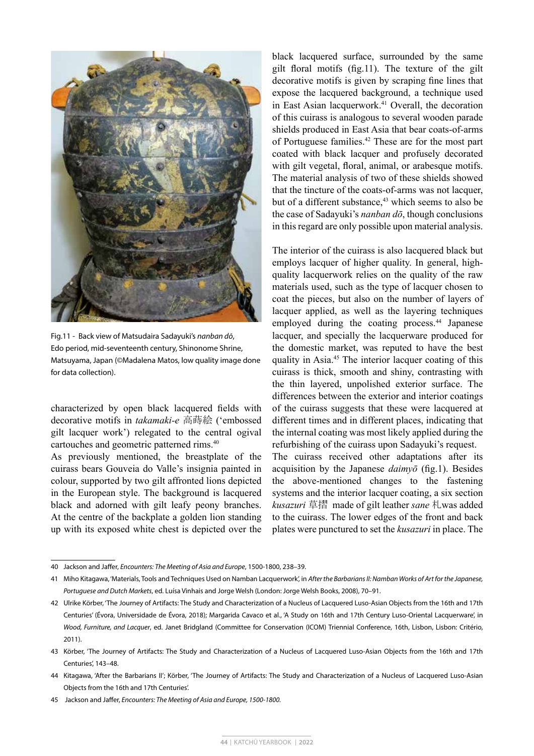

Fig.11 - Back view of Matsudaira Sadayuki's *nanban dō*, Edo period, mid-seventeenth century, Shinonome Shrine, Matsuyama, Japan (©Madalena Matos, low quality image done for data collection).

characterized by open black lacquered fields with decorative motifs in *takamaki-e* 高蒔絵 ('embossed gilt lacquer work') relegated to the central ogival cartouches and geometric patterned rims.40

As previously mentioned, the breastplate of the cuirass bears Gouveia do Valle's insignia painted in colour, supported by two gilt affronted lions depicted in the European style. The background is lacquered black and adorned with gilt leafy peony branches. At the centre of the backplate a golden lion standing up with its exposed white chest is depicted over the black lacquered surface, surrounded by the same gilt floral motifs (fig.11). The texture of the gilt decorative motifs is given by scraping fine lines that expose the lacquered background, a technique used in East Asian lacquerwork.<sup>41</sup> Overall, the decoration of this cuirass is analogous to several wooden parade shields produced in East Asia that bear coats-of-arms of Portuguese families.<sup>42</sup> These are for the most part coated with black lacquer and profusely decorated with gilt vegetal, floral, animal, or arabesque motifs. The material analysis of two of these shields showed that the tincture of the coats-of-arms was not lacquer, but of a different substance, $43$  which seems to also be the case of Sadayuki's *nanban dō*, though conclusions in this regard are only possible upon material analysis.

The interior of the cuirass is also lacquered black but employs lacquer of higher quality. In general, highquality lacquerwork relies on the quality of the raw materials used, such as the type of lacquer chosen to coat the pieces, but also on the number of layers of lacquer applied, as well as the layering techniques employed during the coating process.<sup>44</sup> Japanese lacquer, and specially the lacquerware produced for the domestic market, was reputed to have the best quality in Asia.45 The interior lacquer coating of this cuirass is thick, smooth and shiny, contrasting with the thin layered, unpolished exterior surface. The differences between the exterior and interior coatings of the cuirass suggests that these were lacquered at different times and in different places, indicating that the internal coating was most likely applied during the refurbishing of the cuirass upon Sadayuki's request.

The cuirass received other adaptations after its acquisition by the Japanese *daimyō* (fig.1). Besides the above-mentioned changes to the fastening systems and the interior lacquer coating, a six section *kusazuri* 草摺 made of gilt leather *sane* 札was added to the cuirass. The lower edges of the front and back plates were punctured to set the *kusazuri* in place. The

<sup>40</sup> Jackson and Jaffer, *Encounters: The Meeting of Asia and Europe*, 1500-1800, 238–39.

<sup>41</sup> Miho Kitagawa, 'Materials, Tools and Techniques Used on Namban Lacquerwork', in *After the Barbarians II: Namban Works of Art for the Japanese, Portuguese and Dutch Markets*, ed. Luísa Vinhais and Jorge Welsh (London: Jorge Welsh Books, 2008), 70–91.

<sup>42</sup> Ulrike Körber, 'The Journey of Artifacts: The Study and Characterization of a Nucleus of Lacquered Luso-Asian Objects from the 16th and 17th Centuries' (Évora, Universidade de Évora, 2018); Margarida Cavaco et al., 'A Study on 16th and 17th Century Luso-Oriental Lacquerware', in *Wood, Furniture, and Lacquer*, ed. Janet Bridgland (Committee for Conservation (ICOM) Triennial Conference, 16th, Lisbon, Lisbon: Critério, 2011).

<sup>43</sup> Körber, 'The Journey of Artifacts: The Study and Characterization of a Nucleus of Lacquered Luso-Asian Objects from the 16th and 17th Centuries', 143–48.

<sup>44</sup> Kitagawa, 'After the Barbarians II'; Körber, 'The Journey of Artifacts: The Study and Characterization of a Nucleus of Lacquered Luso-Asian Objects from the 16th and 17th Centuries'.

<sup>45</sup> Jackson and Jaffer, *Encounters: The Meeting of Asia and Europe, 1500-1800.*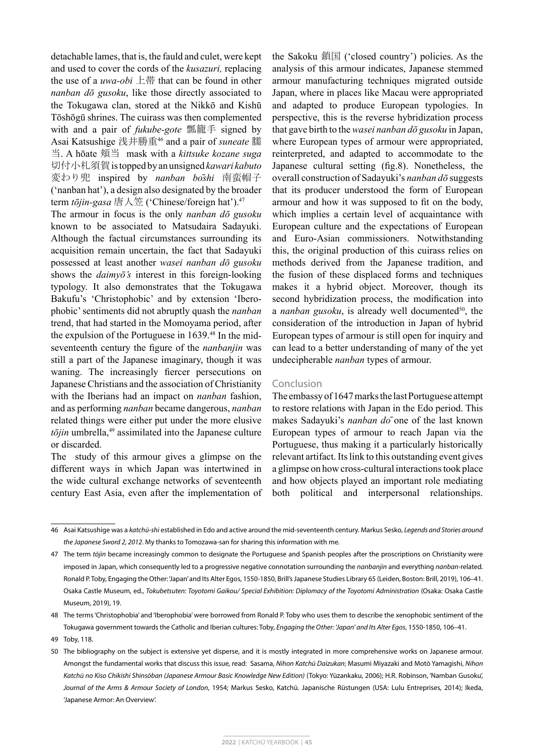detachable lames, that is, the fauld and culet, were kept and used to cover the cords of the *kusazuri,* replacing the use of a *uwa-obi* 上帯 that can be found in other *nanban dō gusoku*, like those directly associated to the Tokugawa clan, stored at the Nikkō and Kishū Tōshōgū shrines. The cuirass was then complemented with and a pair of *fukube-gote* 瓢籠手 signed by Asai Katsushige 浅井勝重46 and a pair of *suneate* 臑 当. A hōate 頬当 mask with a *kittsuke kozane suga*  切付小札須賀 is topped by an unsigned *kawari kabuto* 変わり兜 inspired by *nanban bōshi* 南蛮帽子 ('nanban hat'), a design also designated by the broader term *tōjin-gasa* 唐人笠 ('Chinese/foreign hat').47

The armour in focus is the only *nanban dō gusoku* known to be associated to Matsudaira Sadayuki. Although the factual circumstances surrounding its acquisition remain uncertain, the fact that Sadayuki possessed at least another *wasei nanban dō gusoku* shows the *daimyō's* interest in this foreign-looking typology. It also demonstrates that the Tokugawa Bakufu's 'Christophobic' and by extension 'Iberophobic' sentiments did not abruptly quash the *nanban* trend, that had started in the Momoyama period, after the expulsion of the Portuguese in 1639.<sup>48</sup> In the midseventeenth century the figure of the *nanbanjin* was still a part of the Japanese imaginary, though it was waning. The increasingly fiercer persecutions on Japanese Christians and the association of Christianity with the Iberians had an impact on *nanban* fashion, and as performing *nanban* became dangerous, *nanban* related things were either put under the more elusive  $t\bar{o}jin$  umbrella, $49$  assimilated into the Japanese culture or discarded.

The study of this armour gives a glimpse on the different ways in which Japan was intertwined in the wide cultural exchange networks of seventeenth century East Asia, even after the implementation of the Sakoku 鎖国 ('closed country') policies. As the analysis of this armour indicates, Japanese stemmed armour manufacturing techniques migrated outside Japan, where in places like Macau were appropriated and adapted to produce European typologies. In perspective, this is the reverse hybridization process that gave birth to the *wasei nanban dō gusoku* in Japan, where European types of armour were appropriated, reinterpreted, and adapted to accommodate to the Japanese cultural setting (fig.8). Nonetheless, the overall construction of Sadayuki's *nanban dō* suggests that its producer understood the form of European armour and how it was supposed to fit on the body, which implies a certain level of acquaintance with European culture and the expectations of European and Euro-Asian commissioners. Notwithstanding this, the original production of this cuirass relies on methods derived from the Japanese tradition, and the fusion of these displaced forms and techniques makes it a hybrid object. Moreover, though its second hybridization process, the modification into a *nanban gusoku*, is already well documented<sup>50</sup>, the consideration of the introduction in Japan of hybrid European types of armour is still open for inquiry and can lead to a better understanding of many of the yet undecipherable *nanban* types of armour.

#### Conclusion

The embassy of 1647 marks the last Portuguese attempt to restore relations with Japan in the Edo period. This makes Sadayuki's *nanban dō* one of the last known European types of armour to reach Japan via the Portuguese, thus making it a particularly historically relevant artifact. Its link to this outstanding event gives a glimpse on how cross-cultural interactions took place and how objects played an important role mediating both political and interpersonal relationships.

<sup>46</sup> Asai Katsushige was a *katchū-shi* established in Edo and active around the mid-seventeenth century. Markus Sesko, *Legends and Stories around the Japanese Sword 2, 2012*. My thanks to Tomozawa-san for sharing this information with me.

<sup>47</sup> The term *tōjin* became increasingly common to designate the Portuguese and Spanish peoples after the proscriptions on Christianity were imposed in Japan, which consequently led to a progressive negative connotation surrounding the *nanbanjin* and everything *nanban*-related. Ronald P. Toby, Engaging the Other: 'Japan' and Its Alter Egos, 1550-1850, Brill's Japanese Studies Library 65 (Leiden, Boston: Brill, 2019), 106–41. Osaka Castle Museum, ed., *Tokubetsuten: Toyotomi Gaikou/ Special Exhibition: Diplomacy of the Toyotomi Administration* (Osaka: Osaka Castle Museum, 2019), 19.

<sup>48</sup> The terms 'Christophobia' and 'Iberophobia' were borrowed from Ronald P. Toby who uses them to describe the xenophobic sentiment of the Tokugawa government towards the Catholic and Iberian cultures: Toby, *Engaging the Other: 'Japan' and Its Alter Egos*, 1550-1850, 106–41.

<sup>49</sup> Toby, 118.

<sup>50</sup> The bibliography on the subject is extensive yet disperse, and it is mostly integrated in more comprehensive works on Japanese armour. Amongst the fundamental works that discuss this issue, read: Sasama, *Nihon Katchū Daizukan*; Masumi Miyazaki and Motō Yamagishi, *Nihon Katchū no Kiso Chikishi Shinsōban (Japanese Armour Basic Knowledge New Edition)* (Tokyo: Yūzankaku, 2006); H.R. Robinson, 'Namban Gusoku', *Journal of the Arms & Armour Society of London*, 1954; Markus Sesko, Katchū. Japanische Rüstungen (USA: Lulu Entreprises, 2014); Ikeda, 'Japanese Armor: An Overview'.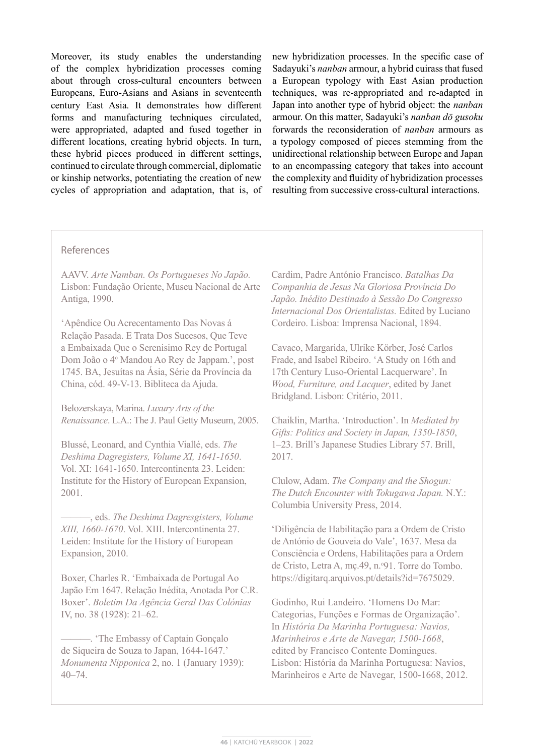Moreover, its study enables the understanding of the complex hybridization processes coming about through cross-cultural encounters between Europeans, Euro-Asians and Asians in seventeenth century East Asia. It demonstrates how different forms and manufacturing techniques circulated, were appropriated, adapted and fused together in different locations, creating hybrid objects. In turn, these hybrid pieces produced in different settings, continued to circulate through commercial, diplomatic or kinship networks, potentiating the creation of new cycles of appropriation and adaptation, that is, of

new hybridization processes. In the specific case of Sadayuki's *nanban* armour, a hybrid cuirass that fused a European typology with East Asian production techniques, was re-appropriated and re-adapted in Japan into another type of hybrid object: the *nanban* armour. On this matter, Sadayuki's *nanban dō gusoku* forwards the reconsideration of *nanban* armours as a typology composed of pieces stemming from the unidirectional relationship between Europe and Japan to an encompassing category that takes into account the complexity and fluidity of hybridization processes resulting from successive cross-cultural interactions.

## References

AAVV. *Arte Namban. Os Portugueses No Japão.* Lisbon: Fundação Oriente, Museu Nacional de Arte Antiga, 1990.

'Apêndice Ou Acrecentamento Das Novas á Relação Pasada. E Trata Dos Sucesos, Que Teve a Embaixada Que o Serenisimo Rey de Portugal Dom João o 4o Mandou Ao Rey de Jappam.', post 1745. BA, Jesuítas na Ásia, Série da Província da China, cód. 49-V-13. Bibliteca da Ajuda.

Belozerskaya, Marina. *Luxury Arts of the Renaissance*. L.A.: The J. Paul Getty Museum, 2005.

Blussé, Leonard, and Cynthia Viallé, eds. *The Deshima Dagregisters, Volume XI, 1641-1650*. Vol. XI: 1641-1650. Intercontinenta 23. Leiden: Institute for the History of European Expansion, 2001.

———, eds. *The Deshima Dagresgisters, Volume XIII, 1660-1670*. Vol. XIII. Intercontinenta 27. Leiden: Institute for the History of European Expansion, 2010.

Boxer, Charles R. 'Embaixada de Portugal Ao Japão Em 1647. Relação Inédita, Anotada Por C.R. Boxer'. *Boletim Da Agência Geral Das Colónias* IV, no. 38 (1928): 21–62.

———. 'The Embassy of Captain Gonçalo de Siqueira de Souza to Japan, 1644-1647.' *Monumenta Nipponica* 2, no. 1 (January 1939): 40–74.

Cardim, Padre António Francisco. *Batalhas Da Companhia de Jesus Na Gloriosa Província Do Japão. Inédito Destinado à Sessão Do Congresso Internacional Dos Orientalistas.* Edited by Luciano Cordeiro. Lisboa: Imprensa Nacional, 1894.

Cavaco, Margarida, Ulrike Körber, José Carlos Frade, and Isabel Ribeiro. 'A Study on 16th and 17th Century Luso-Oriental Lacquerware'. In *Wood, Furniture, and Lacquer*, edited by Janet Bridgland. Lisbon: Critério, 2011.

Chaiklin, Martha. 'Introduction'. In *Mediated by Gifts: Politics and Society in Japan, 1350-1850*, 1–23. Brill's Japanese Studies Library 57. Brill, 2017.

Clulow, Adam. *The Company and the Shogun: The Dutch Encounter with Tokugawa Japan.* N.Y.: Columbia University Press, 2014.

'Diligência de Habilitação para a Ordem de Cristo de António de Gouveia do Vale', 1637. Mesa da Consciência e Ordens, Habilitações para a Ordem de Cristo, Letra A, mç.49, n.º91. Torre do Tombo. https://digitarq.arquivos.pt/details?id=7675029.

Godinho, Rui Landeiro. 'Homens Do Mar: Categorias, Funções e Formas de Organização'. In *História Da Marinha Portuguesa: Navios, Marinheiros e Arte de Navegar, 1500-1668*, edited by Francisco Contente Domingues. Lisbon: História da Marinha Portuguesa: Navios, Marinheiros e Arte de Navegar, 1500-1668, 2012.